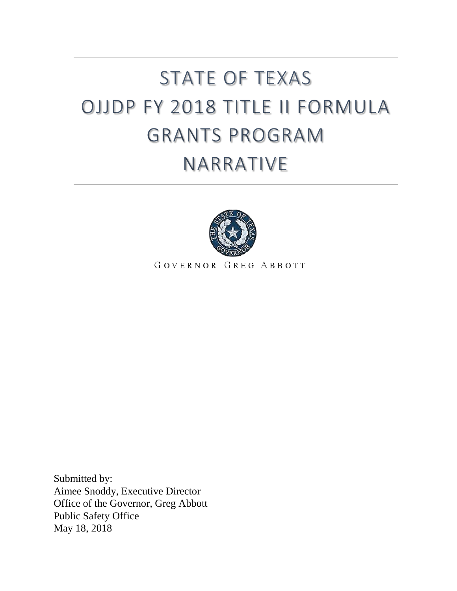# STATE OF TEXAS OJJDP FY 2018 TITLE II FORMULA GRANTS PROGRAM NARRATIVE



GOVERNOR GREG ABBOTT

Submitted by: Aimee Snoddy, Executive Director Office of the Governor, Greg Abbott Public Safety Office May 18, 2018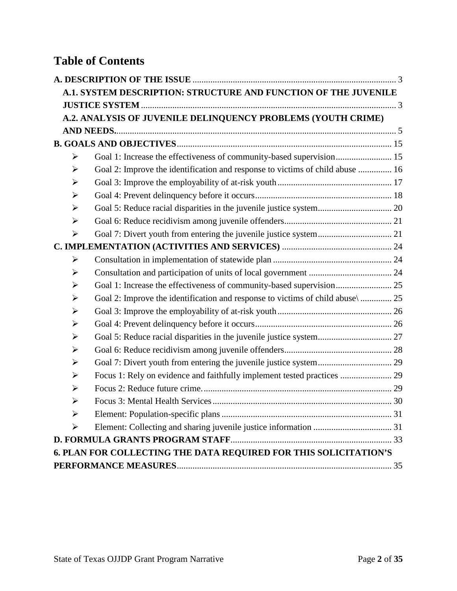# **Table of Contents**

|                       | A.1. SYSTEM DESCRIPTION: STRUCTURE AND FUNCTION OF THE JUVENILE                 |  |
|-----------------------|---------------------------------------------------------------------------------|--|
|                       |                                                                                 |  |
|                       | A.2. ANALYSIS OF JUVENILE DELINQUENCY PROBLEMS (YOUTH CRIME)                    |  |
|                       |                                                                                 |  |
|                       |                                                                                 |  |
| ➤                     | Goal 1: Increase the effectiveness of community-based supervision 15            |  |
| ➤                     | Goal 2: Improve the identification and response to victims of child abuse  16   |  |
| ➤                     |                                                                                 |  |
| ➤                     |                                                                                 |  |
| ➤                     | Goal 5: Reduce racial disparities in the juvenile justice system 20             |  |
| $\blacktriangleright$ |                                                                                 |  |
| $\blacktriangleright$ |                                                                                 |  |
|                       |                                                                                 |  |
| ➤                     |                                                                                 |  |
| ➤                     |                                                                                 |  |
| ➤                     | Goal 1: Increase the effectiveness of community-based supervision 25            |  |
| ➤                     | Goal 2: Improve the identification and response to victims of child abuse \  25 |  |
| ➤                     |                                                                                 |  |
| $\blacktriangleright$ |                                                                                 |  |
| $\blacktriangleright$ | Goal 5: Reduce racial disparities in the juvenile justice system 27             |  |
| $\blacktriangleright$ |                                                                                 |  |
| $\blacktriangleright$ |                                                                                 |  |
| ➤                     | Focus 1: Rely on evidence and faithfully implement tested practices  29         |  |
| ➤                     |                                                                                 |  |
| ➤                     |                                                                                 |  |
| ➤                     |                                                                                 |  |
| ➤                     |                                                                                 |  |
|                       |                                                                                 |  |
|                       | 6. PLAN FOR COLLECTING THE DATA REQUIRED FOR THIS SOLICITATION'S                |  |
|                       |                                                                                 |  |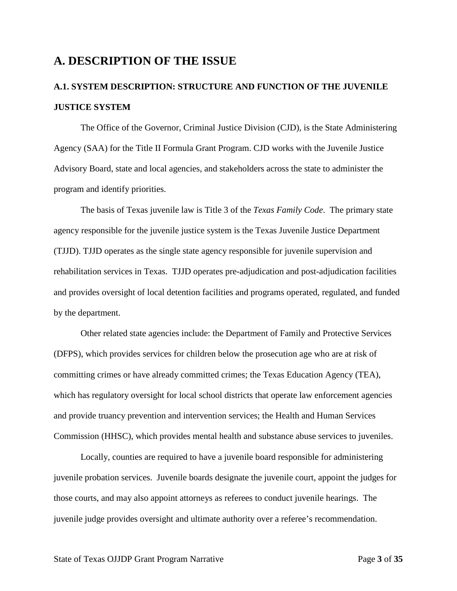### <span id="page-2-0"></span>**A. DESCRIPTION OF THE ISSUE**

## <span id="page-2-1"></span>**A.1. SYSTEM DESCRIPTION: STRUCTURE AND FUNCTION OF THE JUVENILE JUSTICE SYSTEM**

The Office of the Governor, Criminal Justice Division (CJD), is the State Administering Agency (SAA) for the Title II Formula Grant Program. CJD works with the Juvenile Justice Advisory Board, state and local agencies, and stakeholders across the state to administer the program and identify priorities.

The basis of Texas juvenile law is Title 3 of the *Texas Family Code*. The primary state agency responsible for the juvenile justice system is the Texas Juvenile Justice Department (TJJD). TJJD operates as the single state agency responsible for juvenile supervision and rehabilitation services in Texas. TJJD operates pre-adjudication and post-adjudication facilities and provides oversight of local detention facilities and programs operated, regulated, and funded by the department.

Other related state agencies include: the Department of Family and Protective Services (DFPS), which provides services for children below the prosecution age who are at risk of committing crimes or have already committed crimes; the Texas Education Agency (TEA), which has regulatory oversight for local school districts that operate law enforcement agencies and provide truancy prevention and intervention services; the Health and Human Services Commission (HHSC), which provides mental health and substance abuse services to juveniles.

Locally, counties are required to have a juvenile board responsible for administering juvenile probation services. Juvenile boards designate the juvenile court, appoint the judges for those courts, and may also appoint attorneys as referees to conduct juvenile hearings. The juvenile judge provides oversight and ultimate authority over a referee's recommendation.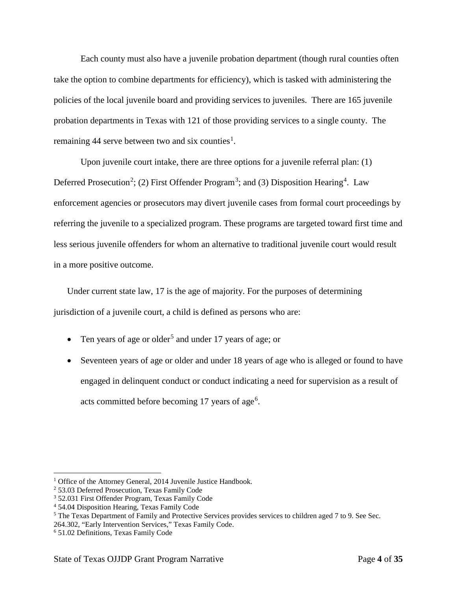Each county must also have a juvenile probation department (though rural counties often take the option to combine departments for efficiency), which is tasked with administering the policies of the local juvenile board and providing services to juveniles. There are 165 juvenile probation departments in Texas with 121 of those providing services to a single county. The remaining 44 serve between two and six counties<sup>[1](#page-3-0)</sup>.

Upon juvenile court intake, there are three options for a juvenile referral plan: (1) Deferred Prosecution<sup>[2](#page-3-1)</sup>; (2) First Offender Program<sup>[3](#page-3-2)</sup>; and (3) Disposition Hearing<sup>[4](#page-3-3)</sup>. Law enforcement agencies or prosecutors may divert juvenile cases from formal court proceedings by referring the juvenile to a specialized program. These programs are targeted toward first time and less serious juvenile offenders for whom an alternative to traditional juvenile court would result in a more positive outcome.

Under current state law, 17 is the age of majority. For the purposes of determining jurisdiction of a juvenile court, a child is defined as persons who are:

- Ten years of age or older<sup>[5](#page-3-4)</sup> and under 17 years of age; or
- Seventeen years of age or older and under 18 years of age who is alleged or found to have engaged in delinquent conduct or conduct indicating a need for supervision as a result of acts committed before becoming 17 years of age<sup>[6](#page-3-5)</sup>.

<span id="page-3-0"></span><sup>&</sup>lt;sup>1</sup> Office of the Attorney General, 2014 Juvenile Justice Handbook.

<span id="page-3-1"></span><sup>2</sup> 53.03 Deferred Prosecution, Texas Family Code

<span id="page-3-2"></span><sup>3</sup> 52.031 First Offender Program, Texas Family Code

<span id="page-3-3"></span><sup>4</sup> 54.04 Disposition Hearing, Texas Family Code

<span id="page-3-4"></span><sup>5</sup> The Texas Department of Family and Protective Services provides services to children aged 7 to 9. See Sec. 264.302, "Early Intervention Services," Texas Family Code.

<span id="page-3-5"></span><sup>6</sup> 51.02 Definitions, Texas Family Code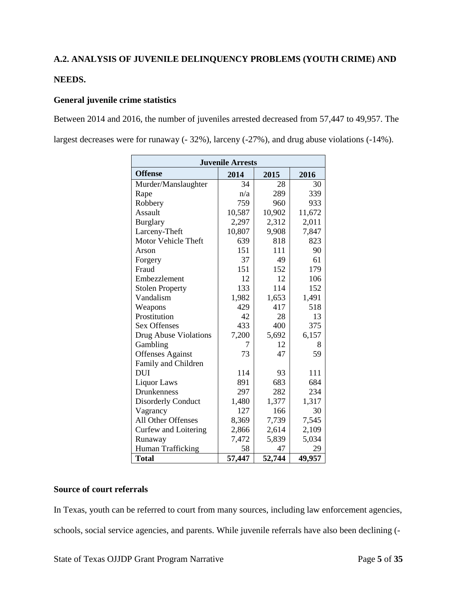#### <span id="page-4-0"></span>**A.2. ANALYSIS OF JUVENILE DELINQUENCY PROBLEMS (YOUTH CRIME) AND**

#### **NEEDS.**

#### **General juvenile crime statistics**

Between 2014 and 2016, the number of juveniles arrested decreased from 57,447 to 49,957. The largest decreases were for runaway (- 32%), larceny (-27%), and drug abuse violations (-14%).

| <b>Juvenile Arrests</b>   |        |        |        |  |  |  |
|---------------------------|--------|--------|--------|--|--|--|
| <b>Offense</b>            | 2014   | 2015   | 2016   |  |  |  |
| Murder/Manslaughter       | 34     | 28     | 30     |  |  |  |
| Rape                      | n/a    | 289    | 339    |  |  |  |
| Robbery                   | 759    | 960    | 933    |  |  |  |
| Assault                   | 10,587 | 10,902 | 11,672 |  |  |  |
| <b>Burglary</b>           | 2,297  | 2,312  | 2,011  |  |  |  |
| Larceny-Theft             | 10,807 | 9,908  | 7,847  |  |  |  |
| Motor Vehicle Theft       | 639    | 818    | 823    |  |  |  |
| Arson                     | 151    | 111    | 90     |  |  |  |
| Forgery                   | 37     | 49     | 61     |  |  |  |
| Fraud                     | 151    | 152    | 179    |  |  |  |
| Embezzlement              | 12     | 12     | 106    |  |  |  |
| <b>Stolen Property</b>    | 133    | 114    | 152    |  |  |  |
| Vandalism                 | 1,982  | 1,653  | 1,491  |  |  |  |
| Weapons                   | 429    | 417    | 518    |  |  |  |
| Prostitution              | 42     | 28     | 13     |  |  |  |
| <b>Sex Offenses</b>       | 433    | 400    | 375    |  |  |  |
| Drug Abuse Violations     | 7,200  | 5,692  | 6,157  |  |  |  |
| Gambling                  | 7      | 12     | 8      |  |  |  |
| <b>Offenses Against</b>   | 73     | 47     | 59     |  |  |  |
| Family and Children       |        |        |        |  |  |  |
| <b>DUI</b>                | 114    | 93     | 111    |  |  |  |
| <b>Liquor Laws</b>        | 891    | 683    | 684    |  |  |  |
| Drunkenness               | 297    | 282    | 234    |  |  |  |
| <b>Disorderly Conduct</b> | 1,480  | 1,377  | 1,317  |  |  |  |
| Vagrancy                  | 127    | 166    | 30     |  |  |  |
| All Other Offenses        | 8,369  | 7,739  | 7,545  |  |  |  |
| Curfew and Loitering      | 2,866  | 2,614  | 2,109  |  |  |  |
| Runaway                   | 7,472  | 5,839  | 5,034  |  |  |  |
| Human Trafficking         | 58     | 47     | 29     |  |  |  |
| <b>Total</b>              | 57,447 | 52,744 | 49,957 |  |  |  |

#### **Source of court referrals**

In Texas, youth can be referred to court from many sources, including law enforcement agencies, schools, social service agencies, and parents. While juvenile referrals have also been declining (-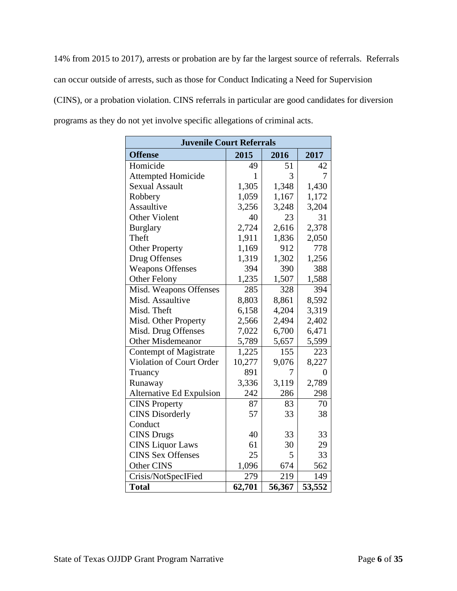14% from 2015 to 2017), arrests or probation are by far the largest source of referrals. Referrals can occur outside of arrests, such as those for Conduct Indicating a Need for Supervision (CINS), or a probation violation. CINS referrals in particular are good candidates for diversion programs as they do not yet involve specific allegations of criminal acts.

| <b>Juvenile Court Referrals</b> |              |        |                |  |  |
|---------------------------------|--------------|--------|----------------|--|--|
| <b>Offense</b>                  | 2015         | 2016   | 2017           |  |  |
| Homicide                        | 49           | 51     | 42             |  |  |
| <b>Attempted Homicide</b>       | $\mathbf{1}$ | 3      | 7              |  |  |
| <b>Sexual Assault</b>           | 1,305        | 1,348  | 1,430          |  |  |
| Robbery                         | 1,059        | 1,167  | 1,172          |  |  |
| Assaultive                      | 3,256        | 3,248  | 3,204          |  |  |
| <b>Other Violent</b>            | 40           | 23     | 31             |  |  |
| <b>Burglary</b>                 | 2,724        | 2,616  | 2,378          |  |  |
| Theft                           | 1,911        | 1,836  | 2,050          |  |  |
| <b>Other Property</b>           | 1,169        | 912    | 778            |  |  |
| Drug Offenses                   | 1,319        | 1,302  | 1,256          |  |  |
| <b>Weapons Offenses</b>         | 394          | 390    | 388            |  |  |
| <b>Other Felony</b>             | 1,235        | 1,507  | 1,588          |  |  |
| Misd. Weapons Offenses          | 285          | 328    | 394            |  |  |
| Misd. Assaultive                | 8,803        | 8,861  | 8,592          |  |  |
| Misd. Theft                     | 6,158        | 4,204  | 3,319          |  |  |
| Misd. Other Property            | 2,566        | 2,494  | 2,402          |  |  |
| Misd. Drug Offenses             | 7,022        | 6,700  | 6,471          |  |  |
| <b>Other Misdemeanor</b>        | 5,789        | 5,657  | 5,599          |  |  |
| Contempt of Magistrate          | 1,225        | 155    | 223            |  |  |
| Violation of Court Order        | 10,277       | 9,076  | 8,227          |  |  |
| Truancy                         | 891          | 7      | $\overline{0}$ |  |  |
| Runaway                         | 3,336        | 3,119  | 2,789          |  |  |
| Alternative Ed Expulsion        | 242          | 286    | 298            |  |  |
| <b>CINS Property</b>            | 87           | 83     | 70             |  |  |
| <b>CINS</b> Disorderly          | 57           | 33     | 38             |  |  |
| Conduct                         |              |        |                |  |  |
| <b>CINS</b> Drugs               | 40           | 33     | 33             |  |  |
| <b>CINS Liquor Laws</b>         | 61           | 30     | 29             |  |  |
| <b>CINS Sex Offenses</b>        | 25           | 5      | 33             |  |  |
| Other CINS                      | 1,096        | 674    | 562            |  |  |
| Crisis/NotSpecIFied             | 279          | 219    | 149            |  |  |
| <b>Total</b>                    | 62,701       | 56,367 | 53,552         |  |  |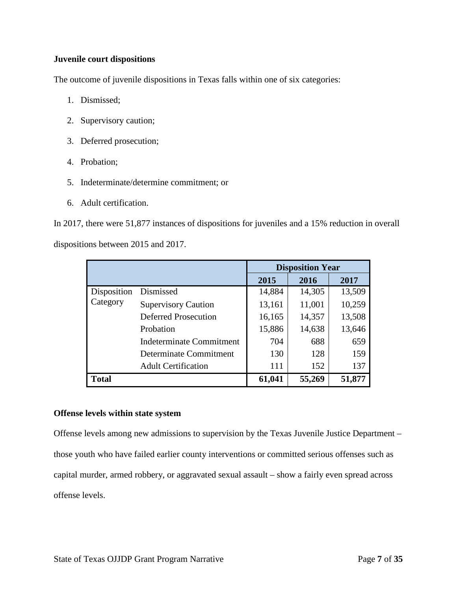#### **Juvenile court dispositions**

The outcome of juvenile dispositions in Texas falls within one of six categories:

- 1. Dismissed;
- 2. Supervisory caution;
- 3. Deferred prosecution;
- 4. Probation;
- 5. Indeterminate/determine commitment; or
- 6. Adult certification.

In 2017, there were 51,877 instances of dispositions for juveniles and a 15% reduction in overall dispositions between 2015 and 2017.

|              |                                 |        | <b>Disposition Year</b> |        |
|--------------|---------------------------------|--------|-------------------------|--------|
|              |                                 | 2015   | 2016                    | 2017   |
| Disposition  | Dismissed                       | 14,884 | 14,305                  | 13,509 |
| Category     | <b>Supervisory Caution</b>      | 13,161 | 11,001                  | 10,259 |
|              | Deferred Prosecution            | 16,165 | 14,357                  | 13,508 |
|              | Probation                       | 15,886 | 14,638                  | 13,646 |
|              | <b>Indeterminate Commitment</b> | 704    | 688                     | 659    |
|              | Determinate Commitment          | 130    | 128                     | 159    |
|              | <b>Adult Certification</b>      | 111    | 152                     | 137    |
| <b>Total</b> |                                 | 61,041 | 55,269                  | 51,877 |

#### **Offense levels within state system**

Offense levels among new admissions to supervision by the Texas Juvenile Justice Department – those youth who have failed earlier county interventions or committed serious offenses such as capital murder, armed robbery, or aggravated sexual assault – show a fairly even spread across offense levels.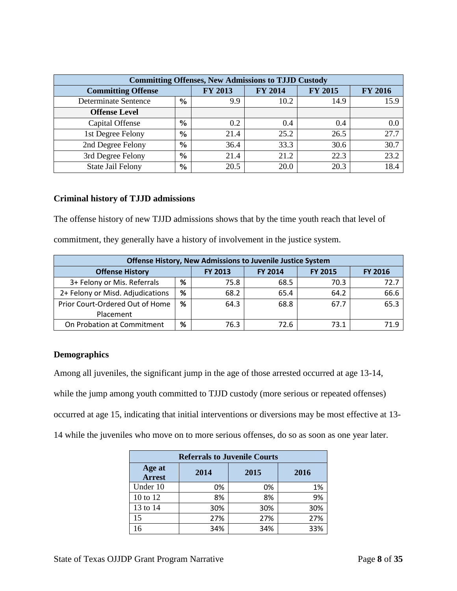| <b>Committing Offenses, New Admissions to TJJD Custody</b> |               |                |                |                |                |  |
|------------------------------------------------------------|---------------|----------------|----------------|----------------|----------------|--|
| <b>Committing Offense</b>                                  |               | <b>FY 2013</b> | <b>FY 2014</b> | <b>FY 2015</b> | <b>FY 2016</b> |  |
| Determinate Sentence                                       | $\frac{6}{9}$ | 9.9            | 10.2           | 14.9           | 15.9           |  |
| <b>Offense Level</b>                                       |               |                |                |                |                |  |
| Capital Offense                                            | $\frac{6}{6}$ | 0.2            | 0.4            | 0.4            | 0.0            |  |
| 1st Degree Felony                                          | $\frac{6}{9}$ | 21.4           | 25.2           | 26.5           | 27.7           |  |
| 2nd Degree Felony                                          | $\frac{6}{6}$ | 36.4           | 33.3           | 30.6           | 30.7           |  |
| 3rd Degree Felony                                          | $\frac{6}{6}$ | 21.4           | 21.2           | 22.3           | 23.2           |  |
| State Jail Felony                                          | $\frac{0}{0}$ | 20.5           | 20.0           | 20.3           | 18.4           |  |

#### **Criminal history of TJJD admissions**

The offense history of new TJJD admissions shows that by the time youth reach that level of commitment, they generally have a history of involvement in the justice system.

| <b>Offense History, New Admissions to Juvenile Justice System</b> |                                                                      |      |      |      |      |  |
|-------------------------------------------------------------------|----------------------------------------------------------------------|------|------|------|------|--|
| <b>Offense History</b>                                            | <b>FY 2014</b><br><b>FY 2013</b><br><b>FY 2015</b><br><b>FY 2016</b> |      |      |      |      |  |
| 3+ Felony or Mis. Referrals                                       | %                                                                    | 75.8 | 68.5 | 70.3 | 72.7 |  |
| 2+ Felony or Misd. Adjudications                                  | %                                                                    | 68.2 | 65.4 | 64.2 | 66.6 |  |
| Prior Court-Ordered Out of Home                                   | ℅                                                                    | 64.3 | 68.8 | 67.7 | 65.3 |  |
| Placement                                                         |                                                                      |      |      |      |      |  |
| On Probation at Commitment                                        | %                                                                    | 76.3 | 72.6 | 73.1 | 71.9 |  |

#### **Demographics**

Among all juveniles, the significant jump in the age of those arrested occurred at age 13-14, while the jump among youth committed to TJJD custody (more serious or repeated offenses) occurred at age 15, indicating that initial interventions or diversions may be most effective at 13- 14 while the juveniles who move on to more serious offenses, do so as soon as one year later.

| <b>Referrals to Juvenile Courts</b>      |     |     |     |  |  |  |  |
|------------------------------------------|-----|-----|-----|--|--|--|--|
| Age at<br>2015<br>2014<br>2016<br>Arrest |     |     |     |  |  |  |  |
| Under 10                                 | 0%  | 0%  | 1%  |  |  |  |  |
| 10 to 12                                 | 8%  | 8%  | 9%  |  |  |  |  |
| 13 to 14                                 | 30% | 30% | 30% |  |  |  |  |
| 15                                       | 27% | 27% | 27% |  |  |  |  |
| 16                                       | 34% | 34% | 33% |  |  |  |  |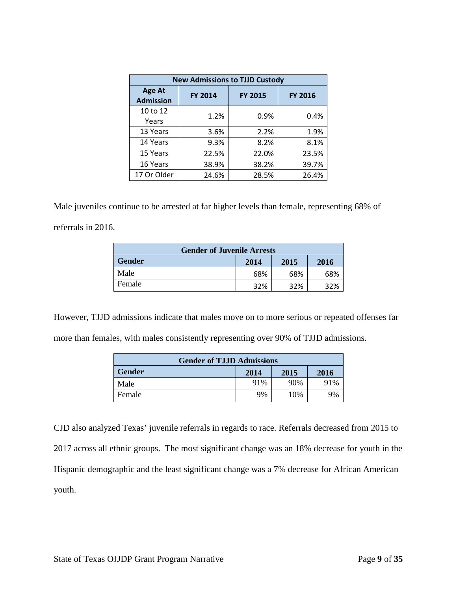| <b>New Admissions to TJJD Custody</b> |                |                |                |  |  |  |  |
|---------------------------------------|----------------|----------------|----------------|--|--|--|--|
| <b>Age At</b><br><b>Admission</b>     | <b>FY 2014</b> | <b>FY 2015</b> | <b>FY 2016</b> |  |  |  |  |
| 10 to 12                              | 1.2%           | 0.9%           | 0.4%           |  |  |  |  |
| Years                                 |                |                |                |  |  |  |  |
| 13 Years                              | 3.6%           | 2.2%           | 1.9%           |  |  |  |  |
| 14 Years                              | 9.3%           | 8.2%           | 8.1%           |  |  |  |  |
| 15 Years                              | 22.5%          | 22.0%          | 23.5%          |  |  |  |  |
| 16 Years                              | 38.9%          | 38.2%          | 39.7%          |  |  |  |  |
| 17 Or Older                           | 24.6%          | 28.5%          | 26.4%          |  |  |  |  |

Male juveniles continue to be arrested at far higher levels than female, representing 68% of referrals in 2016.

| <b>Gender of Juvenile Arrests</b>     |     |     |     |  |  |  |
|---------------------------------------|-----|-----|-----|--|--|--|
| <b>Gender</b><br>2014<br>2016<br>2015 |     |     |     |  |  |  |
| Male                                  | 68% | 68% | 68% |  |  |  |
| Female<br>32%<br>32%<br>32%           |     |     |     |  |  |  |

However, TJJD admissions indicate that males move on to more serious or repeated offenses far more than females, with males consistently representing over 90% of TJJD admissions.

| <b>Gender of TJJD Admissions</b>      |     |     |     |  |  |  |
|---------------------------------------|-----|-----|-----|--|--|--|
| <b>Gender</b><br>2015<br>2014<br>2016 |     |     |     |  |  |  |
| Male                                  | 91% | 90% | 91% |  |  |  |
| Female                                | 9%  | 10% | 9%  |  |  |  |

CJD also analyzed Texas' juvenile referrals in regards to race. Referrals decreased from 2015 to 2017 across all ethnic groups. The most significant change was an 18% decrease for youth in the Hispanic demographic and the least significant change was a 7% decrease for African American youth.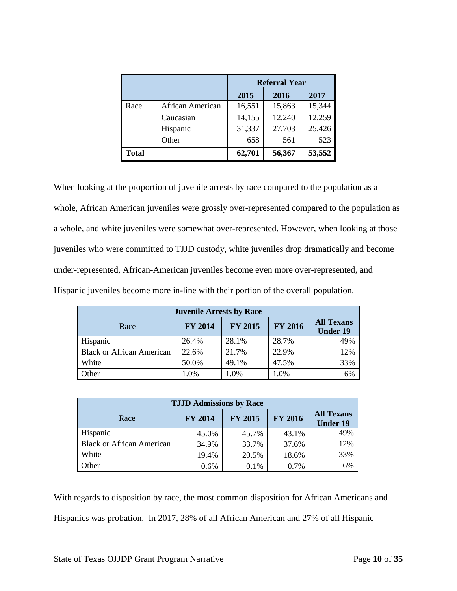|              |                  | <b>Referral Year</b> |        |        |  |
|--------------|------------------|----------------------|--------|--------|--|
|              |                  | 2015                 | 2016   | 2017   |  |
| Race         | African American | 16,551               | 15,863 | 15,344 |  |
|              | Caucasian        | 14,155               | 12,240 | 12,259 |  |
|              | Hispanic         | 31,337               | 27,703 | 25,426 |  |
|              | Other            | 658                  | 561    | 523    |  |
| <b>Total</b> |                  | 62,701               | 56,367 | 53,552 |  |

When looking at the proportion of juvenile arrests by race compared to the population as a whole, African American juveniles were grossly over-represented compared to the population as a whole, and white juveniles were somewhat over-represented. However, when looking at those juveniles who were committed to TJJD custody, white juveniles drop dramatically and become under-represented, African-American juveniles become even more over-represented, and Hispanic juveniles become more in-line with their portion of the overall population.

| <b>Juvenile Arrests by Race</b>  |                |                |                |                                      |  |  |
|----------------------------------|----------------|----------------|----------------|--------------------------------------|--|--|
| Race                             | <b>FY 2014</b> | <b>FY 2015</b> | <b>FY 2016</b> | <b>All Texans</b><br><b>Under 19</b> |  |  |
| Hispanic                         | 26.4%          | 28.1%          | 28.7%          | 49%                                  |  |  |
| <b>Black or African American</b> | 22.6%          | 21.7%          | 22.9%          | 12%                                  |  |  |
| White                            | 50.0%          | 49.1%          | 47.5%          | 33%                                  |  |  |
| Other                            | 1.0%           | 1.0%           | 1.0%           | 6%                                   |  |  |

| <b>TJJD Admissions by Race</b>   |                |                |                |                                      |  |  |  |
|----------------------------------|----------------|----------------|----------------|--------------------------------------|--|--|--|
| Race                             | <b>FY 2014</b> | <b>FY 2015</b> | <b>FY 2016</b> | <b>All Texans</b><br><b>Under 19</b> |  |  |  |
| Hispanic                         | 45.0%          | 45.7%          | 43.1%          | 49%                                  |  |  |  |
| <b>Black or African American</b> | 34.9%          | 33.7%          | 37.6%          | 12%                                  |  |  |  |
| White                            | 19.4%          | 20.5%          | 18.6%          | 33%                                  |  |  |  |
| Other                            | 0.6%           | 0.1%           | 0.7%           | 6%                                   |  |  |  |

With regards to disposition by race, the most common disposition for African Americans and Hispanics was probation. In 2017, 28% of all African American and 27% of all Hispanic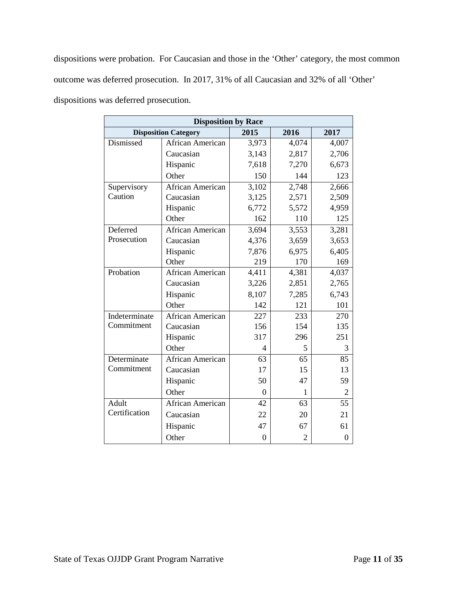dispositions were probation. For Caucasian and those in the 'Other' category, the most common outcome was deferred prosecution. In 2017, 31% of all Caucasian and 32% of all 'Other' dispositions was deferred prosecution.

| <b>Disposition by Race</b> |                             |                  |                |                  |  |  |  |
|----------------------------|-----------------------------|------------------|----------------|------------------|--|--|--|
|                            | <b>Disposition Category</b> | 2015             | 2016           | 2017             |  |  |  |
| Dismissed                  | African American            | 3,973            | 4,074          | 4,007            |  |  |  |
|                            | Caucasian                   | 3,143            | 2,817          | 2,706            |  |  |  |
|                            | Hispanic                    | 7,618            | 7,270          | 6,673            |  |  |  |
|                            | Other                       | 150              | 144            | 123              |  |  |  |
| Supervisory                | African American            | 3,102            | 2,748          | 2,666            |  |  |  |
| Caution                    | Caucasian                   | 3,125            | 2,571          | 2,509            |  |  |  |
|                            | Hispanic                    | 6,772            | 5,572          | 4,959            |  |  |  |
|                            | Other                       | 162              | 110            | 125              |  |  |  |
| Deferred                   | African American            | 3,694            | 3,553          | 3,281            |  |  |  |
| Prosecution                | Caucasian                   | 4,376            | 3,659          | 3,653            |  |  |  |
|                            | Hispanic                    | 7,876            | 6,975          | 6,405            |  |  |  |
|                            | Other                       | 219              | 170            | 169              |  |  |  |
| Probation                  | African American            | 4,411            | 4,381          | 4,037            |  |  |  |
|                            | Caucasian                   | 3,226            | 2,851          | 2,765            |  |  |  |
|                            | Hispanic                    | 8,107            | 7,285          | 6,743            |  |  |  |
|                            | Other                       | 142              | 121            | 101              |  |  |  |
| Indeterminate              | African American            | 227              | 233            | 270              |  |  |  |
| Commitment                 | Caucasian                   | 156              | 154            | 135              |  |  |  |
|                            | Hispanic                    | 317              | 296            | 251              |  |  |  |
|                            | Other                       | 4                | 5              | 3                |  |  |  |
| Determinate                | <b>African American</b>     | 63               | 65             | 85               |  |  |  |
| Commitment                 | Caucasian                   | 17               | 15             | 13               |  |  |  |
|                            | Hispanic                    | 50               | 47             | 59               |  |  |  |
|                            | Other                       | $\theta$         | $\mathbf{1}$   | 2                |  |  |  |
| Adult                      | <b>African American</b>     | 42               | 63             | 55               |  |  |  |
| Certification              | Caucasian                   | 22               | 20             | 21               |  |  |  |
|                            | Hispanic                    | 47               | 67             | 61               |  |  |  |
|                            | Other                       | $\boldsymbol{0}$ | $\overline{2}$ | $\boldsymbol{0}$ |  |  |  |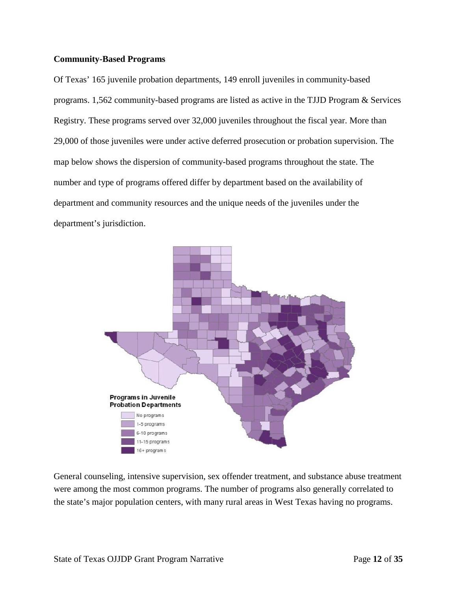#### **Community-Based Programs**

Of Texas' 165 juvenile probation departments, 149 enroll juveniles in community-based programs. 1,562 community-based programs are listed as active in the TJJD Program & Services Registry. These programs served over 32,000 juveniles throughout the fiscal year. More than 29,000 of those juveniles were under active deferred prosecution or probation supervision. The map below shows the dispersion of community-based programs throughout the state. The number and type of programs offered differ by department based on the availability of department and community resources and the unique needs of the juveniles under the department's jurisdiction.



General counseling, intensive supervision, sex offender treatment, and substance abuse treatment were among the most common programs. The number of programs also generally correlated to the state's major population centers, with many rural areas in West Texas having no programs.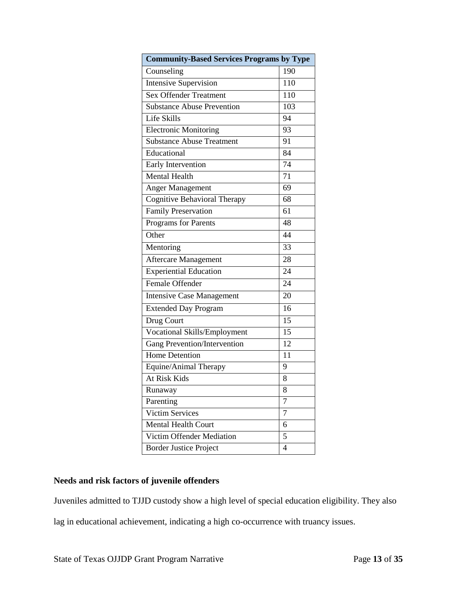| <b>Community-Based Services Programs by Type</b> |     |  |  |  |
|--------------------------------------------------|-----|--|--|--|
| Counseling                                       | 190 |  |  |  |
| <b>Intensive Supervision</b>                     | 110 |  |  |  |
| <b>Sex Offender Treatment</b>                    | 110 |  |  |  |
| <b>Substance Abuse Prevention</b>                | 103 |  |  |  |
| Life Skills                                      | 94  |  |  |  |
| <b>Electronic Monitoring</b>                     | 93  |  |  |  |
| <b>Substance Abuse Treatment</b>                 | 91  |  |  |  |
| Educational                                      | 84  |  |  |  |
| Early Intervention                               | 74  |  |  |  |
| Mental Health                                    | 71  |  |  |  |
| <b>Anger Management</b>                          | 69  |  |  |  |
| <b>Cognitive Behavioral Therapy</b>              | 68  |  |  |  |
| <b>Family Preservation</b>                       | 61  |  |  |  |
| Programs for Parents                             | 48  |  |  |  |
| Other                                            | 44  |  |  |  |
| Mentoring                                        | 33  |  |  |  |
| <b>Aftercare Management</b>                      | 28  |  |  |  |
| Experiential Education                           | 24  |  |  |  |
| Female Offender                                  | 24  |  |  |  |
| <b>Intensive Case Management</b>                 | 20  |  |  |  |
| <b>Extended Day Program</b>                      | 16  |  |  |  |
| Drug Court                                       | 15  |  |  |  |
| <b>Vocational Skills/Employment</b>              | 15  |  |  |  |
| <b>Gang Prevention/Intervention</b>              | 12  |  |  |  |
| <b>Home Detention</b>                            | 11  |  |  |  |
| Equine/Animal Therapy                            | 9   |  |  |  |
| <b>At Risk Kids</b>                              | 8   |  |  |  |
| Runaway                                          | 8   |  |  |  |
| Parenting                                        | 7   |  |  |  |
| <b>Victim Services</b>                           | 7   |  |  |  |
| <b>Mental Health Court</b>                       | 6   |  |  |  |
| Victim Offender Mediation                        | 5   |  |  |  |
| <b>Border Justice Project</b>                    | 4   |  |  |  |

#### **Needs and risk factors of juvenile offenders**

Juveniles admitted to TJJD custody show a high level of special education eligibility. They also

lag in educational achievement, indicating a high co-occurrence with truancy issues.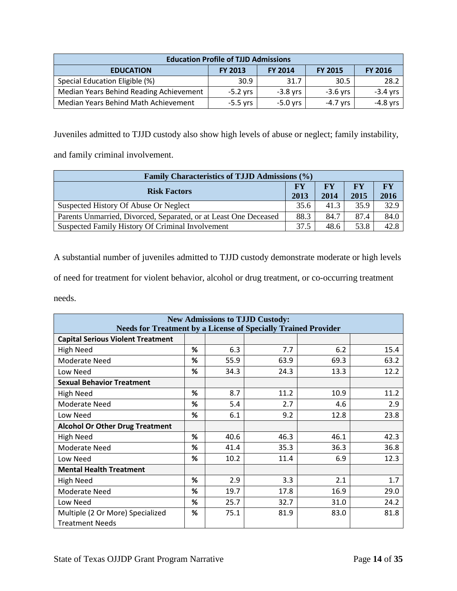| <b>Education Profile of TJJD Admissions</b>                                              |            |            |            |            |  |  |
|------------------------------------------------------------------------------------------|------------|------------|------------|------------|--|--|
| <b>FY 2013</b><br><b>FY 2014</b><br><b>FY 2016</b><br><b>FY 2015</b><br><b>EDUCATION</b> |            |            |            |            |  |  |
| Special Education Eligible (%)                                                           | 30.9       | 31.7       | 30.5       | 28.2       |  |  |
| Median Years Behind Reading Achievement                                                  | $-5.2$ yrs | $-3.8$ yrs | $-3.6$ yrs | $-3.4$ yrs |  |  |
| Median Years Behind Math Achievement                                                     | $-5.5$ yrs | $-5.0$ yrs | $-4.7$ yrs | -4.8 vrs   |  |  |

Juveniles admitted to TJJD custody also show high levels of abuse or neglect; family instability,

and family criminal involvement.

| Family Characteristics of TJJD Admissions (%)                    |              |                   |                   |                                |  |  |
|------------------------------------------------------------------|--------------|-------------------|-------------------|--------------------------------|--|--|
| <b>Risk Factors</b>                                              |              | <b>FY</b><br>2014 | <b>FY</b><br>2015 | $\mathbf{F}\mathbf{Y}$<br>2016 |  |  |
| Suspected History Of Abuse Or Neglect                            | 2013<br>35.6 | 41.3              | 35.9              | 32.9                           |  |  |
| Parents Unmarried, Divorced, Separated, or at Least One Deceased |              | 84.7              | 87.4              | 84.0                           |  |  |
| Suspected Family History Of Criminal Involvement                 |              | 48.6              | 53.8              | 42.8                           |  |  |

A substantial number of juveniles admitted to TJJD custody demonstrate moderate or high levels

of need for treatment for violent behavior, alcohol or drug treatment, or co-occurring treatment

needs.

| <b>New Admissions to TJJD Custody:</b><br><b>Needs for Treatment by a License of Specially Trained Provider</b> |   |      |      |      |      |  |  |
|-----------------------------------------------------------------------------------------------------------------|---|------|------|------|------|--|--|
| <b>Capital Serious Violent Treatment</b>                                                                        |   |      |      |      |      |  |  |
| <b>High Need</b>                                                                                                | ℅ | 6.3  | 7.7  | 6.2  | 15.4 |  |  |
| <b>Moderate Need</b>                                                                                            | % | 55.9 | 63.9 | 69.3 | 63.2 |  |  |
| Low Need                                                                                                        | ℅ | 34.3 | 24.3 | 13.3 | 12.2 |  |  |
| <b>Sexual Behavior Treatment</b>                                                                                |   |      |      |      |      |  |  |
| High Need                                                                                                       | % | 8.7  | 11.2 | 10.9 | 11.2 |  |  |
| Moderate Need                                                                                                   | % | 5.4  | 2.7  | 4.6  | 2.9  |  |  |
| Low Need                                                                                                        | ℅ | 6.1  | 9.2  | 12.8 | 23.8 |  |  |
| <b>Alcohol Or Other Drug Treatment</b>                                                                          |   |      |      |      |      |  |  |
| High Need                                                                                                       | ℅ | 40.6 | 46.3 | 46.1 | 42.3 |  |  |
| Moderate Need                                                                                                   | % | 41.4 | 35.3 | 36.3 | 36.8 |  |  |
| Low Need                                                                                                        | ℅ | 10.2 | 11.4 | 6.9  | 12.3 |  |  |
| <b>Mental Health Treatment</b>                                                                                  |   |      |      |      |      |  |  |
| High Need                                                                                                       | % | 2.9  | 3.3  | 2.1  | 1.7  |  |  |
| Moderate Need                                                                                                   | % | 19.7 | 17.8 | 16.9 | 29.0 |  |  |
| Low Need                                                                                                        | % | 25.7 | 32.7 | 31.0 | 24.2 |  |  |
| Multiple (2 Or More) Specialized                                                                                | ℅ | 75.1 | 81.9 | 83.0 | 81.8 |  |  |
| <b>Treatment Needs</b>                                                                                          |   |      |      |      |      |  |  |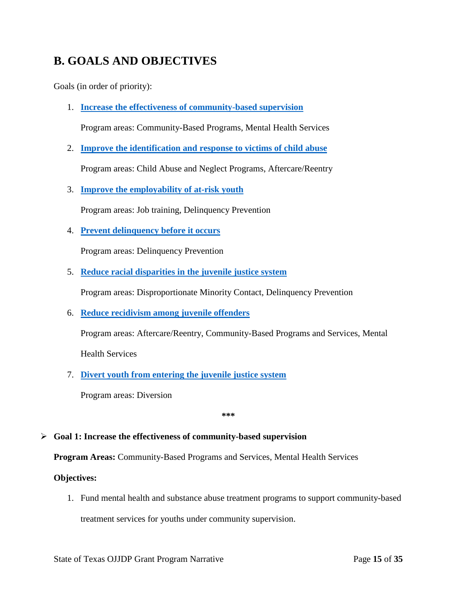## <span id="page-14-0"></span>**B. GOALS AND OBJECTIVES**

Goals (in order of priority):

1. **[Increase the effectiveness of community-based supervision](#page-14-1)**

Program areas: Community-Based Programs, Mental Health Services

2. **[Improve the identification and response to victims of child abuse](#page-15-0)**

Program areas: Child Abuse and Neglect Programs, Aftercare/Reentry

3. **[Improve the employability of at-risk youth](#page-16-0)**

Program areas: Job training, Delinquency Prevention

4. **[Prevent delinquency before it occurs](#page-17-0)**

Program areas: Delinquency Prevention

5. **[Reduce racial disparities in the juvenile justice system](#page-18-0)**

Program areas: Disproportionate Minority Contact, Delinquency Prevention

6. **[Reduce recidivism among juvenile offenders](#page-19-1)**

Program areas: Aftercare/Reentry, Community-Based Programs and Services, Mental

Health Services

7. **[Divert youth from entering the juvenile justice system](#page-20-1)**

Program areas: Diversion

**\*\*\*** 

#### <span id="page-14-1"></span>**Goal 1: Increase the effectiveness of community-based supervision**

**Program Areas:** Community-Based Programs and Services, Mental Health Services

#### **Objectives:**

1. Fund mental health and substance abuse treatment programs to support community-based

treatment services for youths under community supervision.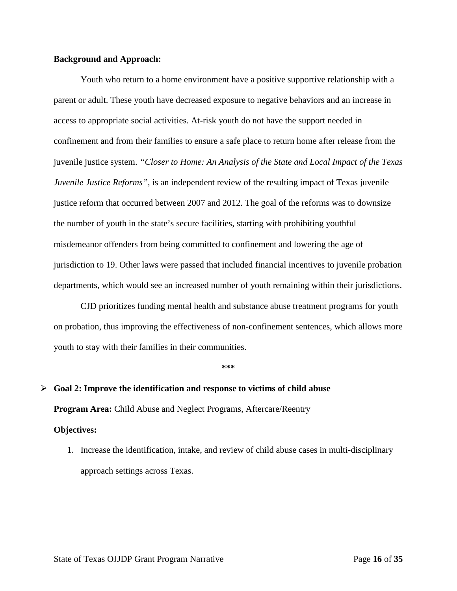Youth who return to a home environment have a positive supportive relationship with a parent or adult. These youth have decreased exposure to negative behaviors and an increase in access to appropriate social activities. At-risk youth do not have the support needed in confinement and from their families to ensure a safe place to return home after release from the juvenile justice system. *"Closer to Home: An Analysis of the State and Local Impact of the Texas Juvenile Justice Reforms"*, is an independent review of the resulting impact of Texas juvenile justice reform that occurred between 2007 and 2012. The goal of the reforms was to downsize the number of youth in the state's secure facilities, starting with prohibiting youthful misdemeanor offenders from being committed to confinement and lowering the age of jurisdiction to 19. Other laws were passed that included financial incentives to juvenile probation departments, which would see an increased number of youth remaining within their jurisdictions.

CJD prioritizes funding mental health and substance abuse treatment programs for youth on probation, thus improving the effectiveness of non-confinement sentences, which allows more youth to stay with their families in their communities.

#### **\*\*\***

### <span id="page-15-0"></span>**Goal 2: Improve the identification and response to victims of child abuse**

**Program Area:** Child Abuse and Neglect Programs, Aftercare/Reentry

#### **Objectives:**

1. Increase the identification, intake, and review of child abuse cases in multi-disciplinary approach settings across Texas.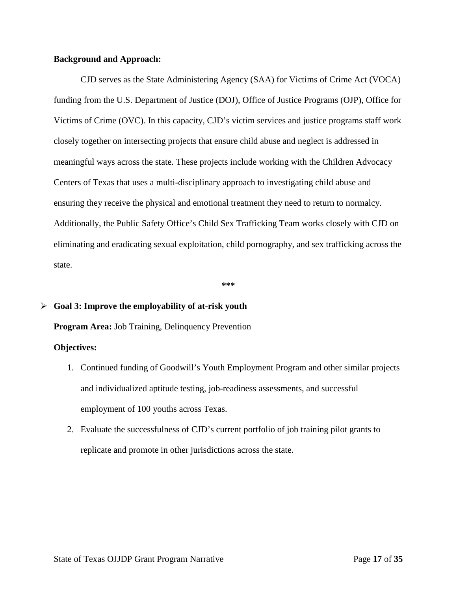CJD serves as the State Administering Agency (SAA) for Victims of Crime Act (VOCA) funding from the U.S. Department of Justice (DOJ), Office of Justice Programs (OJP), Office for Victims of Crime (OVC). In this capacity, CJD's victim services and justice programs staff work closely together on intersecting projects that ensure child abuse and neglect is addressed in meaningful ways across the state. These projects include working with the Children Advocacy Centers of Texas that uses a multi-disciplinary approach to investigating child abuse and ensuring they receive the physical and emotional treatment they need to return to normalcy. Additionally, the Public Safety Office's Child Sex Trafficking Team works closely with CJD on eliminating and eradicating sexual exploitation, child pornography, and sex trafficking across the state.

**\*\*\*** 

#### <span id="page-16-0"></span>**Goal 3: Improve the employability of at-risk youth**

**Program Area:** Job Training, Delinquency Prevention

#### **Objectives:**

- 1. Continued funding of Goodwill's Youth Employment Program and other similar projects and individualized aptitude testing, job-readiness assessments, and successful employment of 100 youths across Texas.
- 2. Evaluate the successfulness of CJD's current portfolio of job training pilot grants to replicate and promote in other jurisdictions across the state.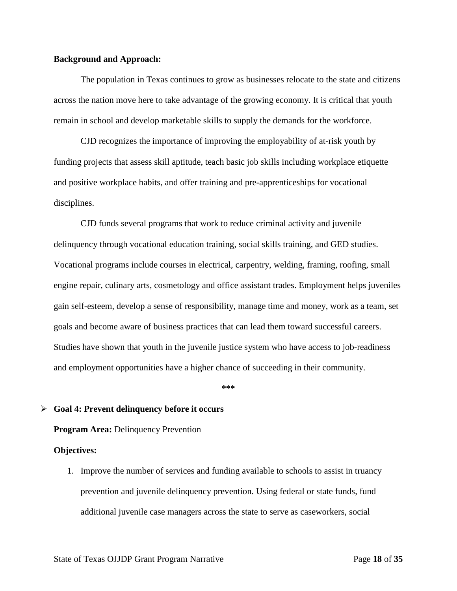The population in Texas continues to grow as businesses relocate to the state and citizens across the nation move here to take advantage of the growing economy. It is critical that youth remain in school and develop marketable skills to supply the demands for the workforce.

CJD recognizes the importance of improving the employability of at-risk youth by funding projects that assess skill aptitude, teach basic job skills including workplace etiquette and positive workplace habits, and offer training and pre-apprenticeships for vocational disciplines.

CJD funds several programs that work to reduce criminal activity and juvenile delinquency through vocational education training, social skills training, and GED studies. Vocational programs include courses in electrical, carpentry, welding, framing, roofing, small engine repair, culinary arts, cosmetology and office assistant trades. Employment helps juveniles gain self-esteem, develop a sense of responsibility, manage time and money, work as a team, set goals and become aware of business practices that can lead them toward successful careers. Studies have shown that youth in the juvenile justice system who have access to job-readiness and employment opportunities have a higher chance of succeeding in their community.

**\*\*\*** 

#### <span id="page-17-0"></span>**Goal 4: Prevent delinquency before it occurs**

**Program Area: Delinquency Prevention** 

#### **Objectives:**

1. Improve the number of services and funding available to schools to assist in truancy prevention and juvenile delinquency prevention. Using federal or state funds, fund additional juvenile case managers across the state to serve as caseworkers, social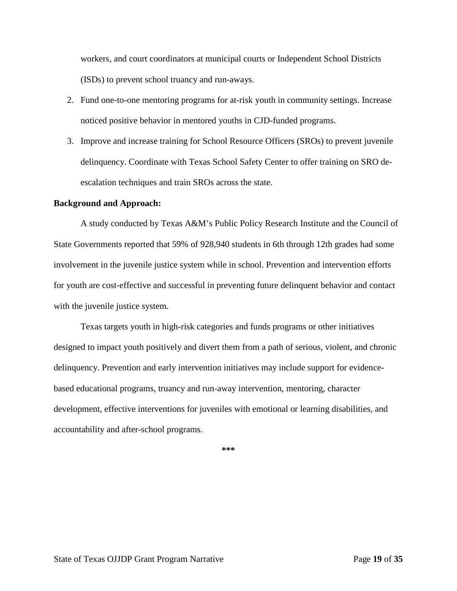workers, and court coordinators at municipal courts or Independent School Districts (ISDs) to prevent school truancy and run-aways.

- 2. Fund one-to-one mentoring programs for at-risk youth in community settings. Increase noticed positive behavior in mentored youths in CJD-funded programs.
- 3. Improve and increase training for School Resource Officers (SROs) to prevent juvenile delinquency. Coordinate with Texas School Safety Center to offer training on SRO deescalation techniques and train SROs across the state.

#### **Background and Approach:**

A study conducted by Texas A&M's Public Policy Research Institute and the Council of State Governments reported that 59% of 928,940 students in 6th through 12th grades had some involvement in the juvenile justice system while in school. Prevention and intervention efforts for youth are cost-effective and successful in preventing future delinquent behavior and contact with the juvenile justice system.

<span id="page-18-0"></span>Texas targets youth in high-risk categories and funds programs or other initiatives designed to impact youth positively and divert them from a path of serious, violent, and chronic delinquency. Prevention and early intervention initiatives may include support for evidencebased educational programs, truancy and run-away intervention, mentoring, character development, effective interventions for juveniles with emotional or learning disabilities, and accountability and after-school programs.

**\*\*\***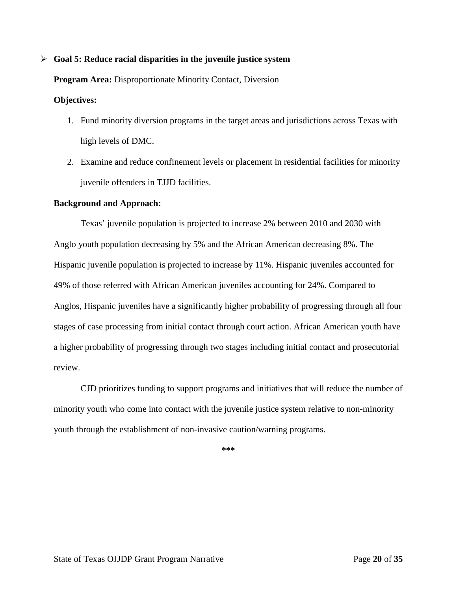#### <span id="page-19-0"></span>**Goal 5: Reduce racial disparities in the juvenile justice system**

#### **Program Area:** Disproportionate Minority Contact, Diversion

#### **Objectives:**

- 1. Fund minority diversion programs in the target areas and jurisdictions across Texas with high levels of DMC.
- 2. Examine and reduce confinement levels or placement in residential facilities for minority juvenile offenders in TJJD facilities.

#### **Background and Approach:**

Texas' juvenile population is projected to increase 2% between 2010 and 2030 with Anglo youth population decreasing by 5% and the African American decreasing 8%. The Hispanic juvenile population is projected to increase by 11%. Hispanic juveniles accounted for 49% of those referred with African American juveniles accounting for 24%. Compared to Anglos, Hispanic juveniles have a significantly higher probability of progressing through all four stages of case processing from initial contact through court action. African American youth have a higher probability of progressing through two stages including initial contact and prosecutorial review.

CJD prioritizes funding to support programs and initiatives that will reduce the number of minority youth who come into contact with the juvenile justice system relative to non-minority youth through the establishment of non-invasive caution/warning programs.

<span id="page-19-1"></span> $*$ \*\*\*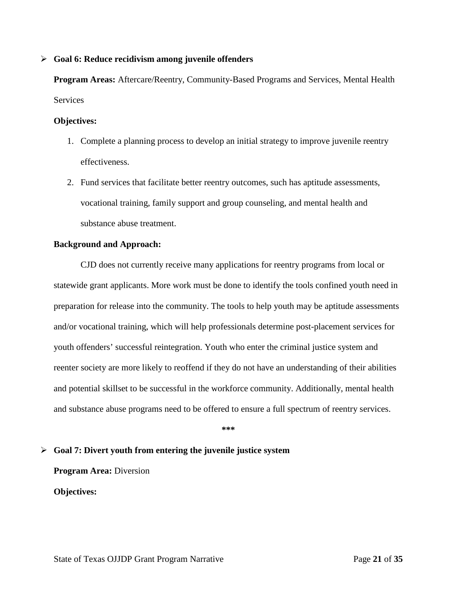#### <span id="page-20-0"></span>**Goal 6: Reduce recidivism among juvenile offenders**

**Program Areas:** Aftercare/Reentry, Community-Based Programs and Services, Mental Health **Services** 

#### **Objectives:**

- 1. Complete a planning process to develop an initial strategy to improve juvenile reentry effectiveness.
- 2. Fund services that facilitate better reentry outcomes, such has aptitude assessments, vocational training, family support and group counseling, and mental health and substance abuse treatment.

#### **Background and Approach:**

 CJD does not currently receive many applications for reentry programs from local or statewide grant applicants. More work must be done to identify the tools confined youth need in preparation for release into the community. The tools to help youth may be aptitude assessments and/or vocational training, which will help professionals determine post-placement services for youth offenders' successful reintegration. Youth who enter the criminal justice system and reenter society are more likely to reoffend if they do not have an understanding of their abilities and potential skillset to be successful in the workforce community. Additionally, mental health and substance abuse programs need to be offered to ensure a full spectrum of reentry services.

**\*\*\*** 

#### <span id="page-20-1"></span>**Goal 7: Divert youth from entering the juvenile justice system**

**Program Area:** Diversion

**Objectives:**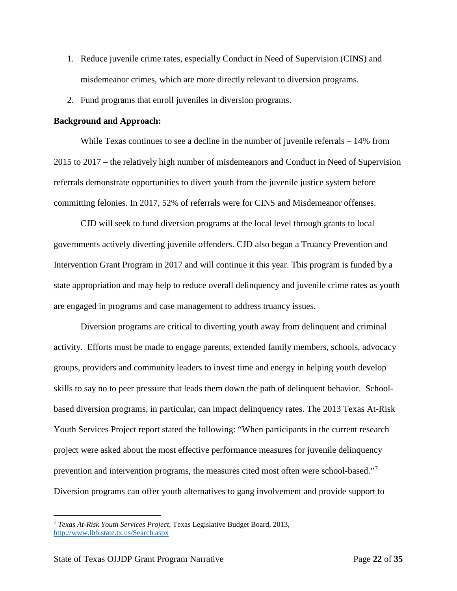- 1. Reduce juvenile crime rates, especially Conduct in Need of Supervision (CINS) and misdemeanor crimes, which are more directly relevant to diversion programs.
- 2. Fund programs that enroll juveniles in diversion programs.

While Texas continues to see a decline in the number of juvenile referrals – 14% from 2015 to 2017 – the relatively high number of misdemeanors and Conduct in Need of Supervision referrals demonstrate opportunities to divert youth from the juvenile justice system before committing felonies. In 2017, 52% of referrals were for CINS and Misdemeanor offenses.

CJD will seek to fund diversion programs at the local level through grants to local governments actively diverting juvenile offenders. CJD also began a Truancy Prevention and Intervention Grant Program in 2017 and will continue it this year. This program is funded by a state appropriation and may help to reduce overall delinquency and juvenile crime rates as youth are engaged in programs and case management to address truancy issues.

Diversion programs are critical to diverting youth away from delinquent and criminal activity. Efforts must be made to engage parents, extended family members, schools, advocacy groups, providers and community leaders to invest time and energy in helping youth develop skills to say no to peer pressure that leads them down the path of delinquent behavior. Schoolbased diversion programs, in particular, can impact delinquency rates. The 2013 Texas At-Risk Youth Services Project report stated the following: "When participants in the current research project were asked about the most effective performance measures for juvenile delinquency prevention and intervention programs, the measures cited most often were school-based."<sup>[7](#page-21-0)</sup> Diversion programs can offer youth alternatives to gang involvement and provide support to

<span id="page-21-0"></span> <sup>7</sup> *Texas At-Risk Youth Services Project,* Texas Legislative Budget Board, 2013, <http://www.lbb.state.tx.us/Search.aspx>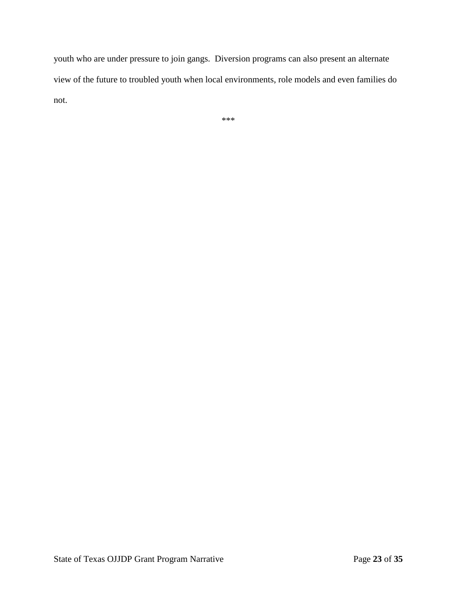youth who are under pressure to join gangs. Diversion programs can also present an alternate view of the future to troubled youth when local environments, role models and even families do not.

\*\*\*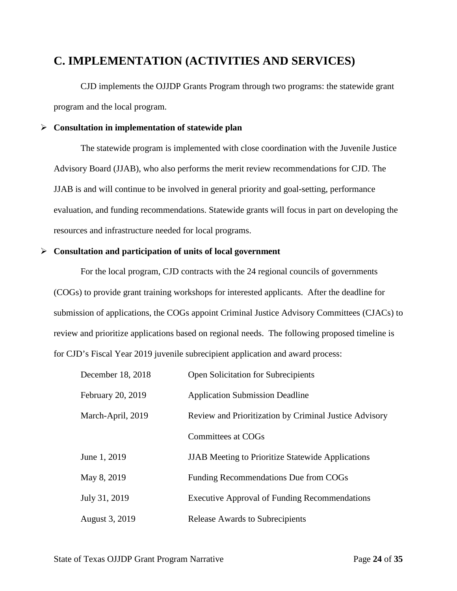### <span id="page-23-0"></span>**C. IMPLEMENTATION (ACTIVITIES AND SERVICES)**

CJD implements the OJJDP Grants Program through two programs: the statewide grant program and the local program.

#### <span id="page-23-1"></span>**Consultation in implementation of statewide plan**

The statewide program is implemented with close coordination with the Juvenile Justice Advisory Board (JJAB), who also performs the merit review recommendations for CJD. The JJAB is and will continue to be involved in general priority and goal-setting, performance evaluation, and funding recommendations. Statewide grants will focus in part on developing the resources and infrastructure needed for local programs.

#### <span id="page-23-2"></span>**Consultation and participation of units of local government**

For the local program, CJD contracts with the 24 regional councils of governments (COGs) to provide grant training workshops for interested applicants. After the deadline for submission of applications, the COGs appoint Criminal Justice Advisory Committees (CJACs) to review and prioritize applications based on regional needs. The following proposed timeline is for CJD's Fiscal Year 2019 juvenile subrecipient application and award process:

| December 18, 2018 | <b>Open Solicitation for Subrecipients</b>               |
|-------------------|----------------------------------------------------------|
| February 20, 2019 | <b>Application Submission Deadline</b>                   |
| March-April, 2019 | Review and Prioritization by Criminal Justice Advisory   |
|                   | <b>Committees at COGs</b>                                |
| June 1, 2019      | <b>JJAB</b> Meeting to Prioritize Statewide Applications |
| May 8, 2019       | Funding Recommendations Due from COGs                    |
| July 31, 2019     | <b>Executive Approval of Funding Recommendations</b>     |
| August 3, 2019    | <b>Release Awards to Subrecipients</b>                   |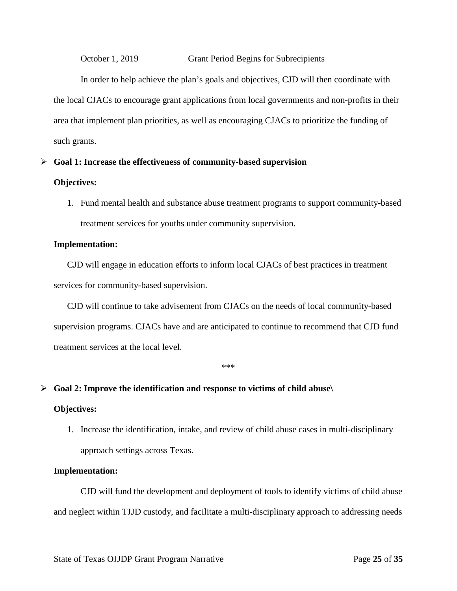October 1, 2019 Grant Period Begins for Subrecipients

In order to help achieve the plan's goals and objectives, CJD will then coordinate with the local CJACs to encourage grant applications from local governments and non-profits in their area that implement plan priorities, as well as encouraging CJACs to prioritize the funding of such grants.

# <span id="page-24-0"></span>**Goal 1: Increase the effectiveness of community-based supervision**

#### **Objectives:**

1. Fund mental health and substance abuse treatment programs to support community-based treatment services for youths under community supervision.

#### **Implementation:**

CJD will engage in education efforts to inform local CJACs of best practices in treatment services for community-based supervision.

CJD will continue to take advisement from CJACs on the needs of local community-based supervision programs. CJACs have and are anticipated to continue to recommend that CJD fund treatment services at the local level.

\*\*\*

#### <span id="page-24-1"></span>**Goal 2: Improve the identification and response to victims of child abuse\**

#### **Objectives:**

1. Increase the identification, intake, and review of child abuse cases in multi-disciplinary approach settings across Texas.

#### **Implementation:**

CJD will fund the development and deployment of tools to identify victims of child abuse and neglect within TJJD custody, and facilitate a multi-disciplinary approach to addressing needs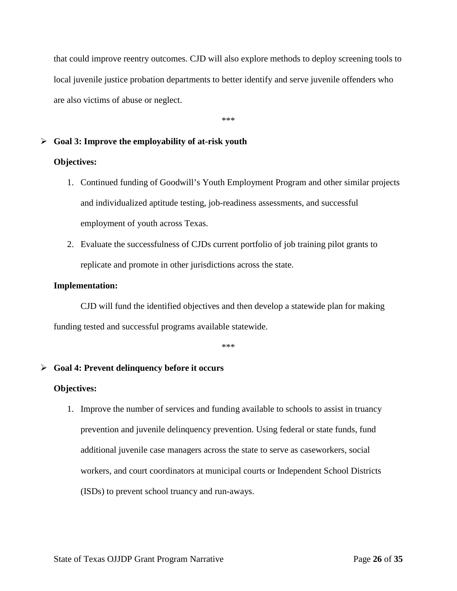that could improve reentry outcomes. CJD will also explore methods to deploy screening tools to local juvenile justice probation departments to better identify and serve juvenile offenders who are also victims of abuse or neglect.

\*\*\*

#### <span id="page-25-0"></span>**Goal 3: Improve the employability of at-risk youth**

#### **Objectives:**

- 1. Continued funding of Goodwill's Youth Employment Program and other similar projects and individualized aptitude testing, job-readiness assessments, and successful employment of youth across Texas.
- 2. Evaluate the successfulness of CJDs current portfolio of job training pilot grants to replicate and promote in other jurisdictions across the state.

#### **Implementation:**

CJD will fund the identified objectives and then develop a statewide plan for making funding tested and successful programs available statewide.

\*\*\*

#### <span id="page-25-1"></span>**Goal 4: Prevent delinquency before it occurs**

#### **Objectives:**

1. Improve the number of services and funding available to schools to assist in truancy prevention and juvenile delinquency prevention. Using federal or state funds, fund additional juvenile case managers across the state to serve as caseworkers, social workers, and court coordinators at municipal courts or Independent School Districts (ISDs) to prevent school truancy and run-aways.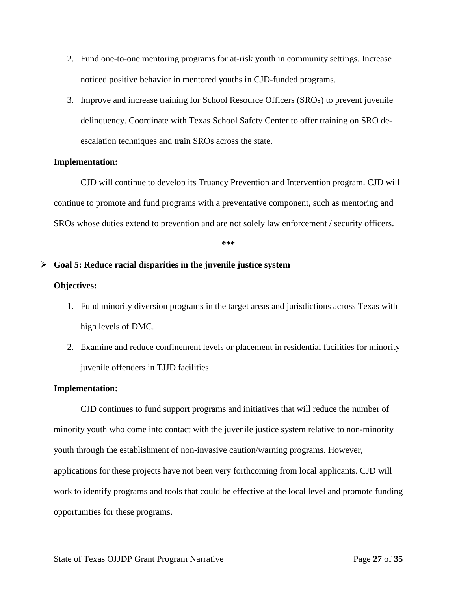- 2. Fund one-to-one mentoring programs for at-risk youth in community settings. Increase noticed positive behavior in mentored youths in CJD-funded programs.
- 3. Improve and increase training for School Resource Officers (SROs) to prevent juvenile delinquency. Coordinate with Texas School Safety Center to offer training on SRO deescalation techniques and train SROs across the state.

#### **Implementation:**

CJD will continue to develop its Truancy Prevention and Intervention program. CJD will continue to promote and fund programs with a preventative component, such as mentoring and SROs whose duties extend to prevention and are not solely law enforcement / security officers.

**\*\*\*** 

#### <span id="page-26-0"></span>**Goal 5: Reduce racial disparities in the juvenile justice system**

#### **Objectives:**

- 1. Fund minority diversion programs in the target areas and jurisdictions across Texas with high levels of DMC.
- 2. Examine and reduce confinement levels or placement in residential facilities for minority juvenile offenders in TJJD facilities.

#### **Implementation:**

CJD continues to fund support programs and initiatives that will reduce the number of minority youth who come into contact with the juvenile justice system relative to non-minority youth through the establishment of non-invasive caution/warning programs. However, applications for these projects have not been very forthcoming from local applicants. CJD will work to identify programs and tools that could be effective at the local level and promote funding opportunities for these programs.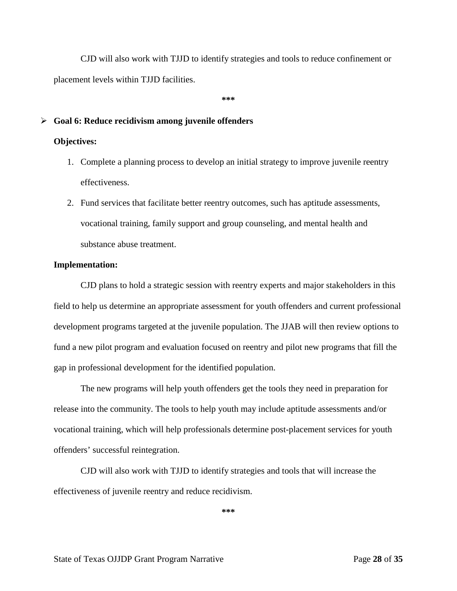CJD will also work with TJJD to identify strategies and tools to reduce confinement or placement levels within TJJD facilities.

 $*$ \*\*\*

#### <span id="page-27-0"></span>**Goal 6: Reduce recidivism among juvenile offenders**

#### **Objectives:**

- 1. Complete a planning process to develop an initial strategy to improve juvenile reentry effectiveness.
- 2. Fund services that facilitate better reentry outcomes, such has aptitude assessments, vocational training, family support and group counseling, and mental health and substance abuse treatment.

#### **Implementation:**

 CJD plans to hold a strategic session with reentry experts and major stakeholders in this field to help us determine an appropriate assessment for youth offenders and current professional development programs targeted at the juvenile population. The JJAB will then review options to fund a new pilot program and evaluation focused on reentry and pilot new programs that fill the gap in professional development for the identified population.

The new programs will help youth offenders get the tools they need in preparation for release into the community. The tools to help youth may include aptitude assessments and/or vocational training, which will help professionals determine post-placement services for youth offenders' successful reintegration.

CJD will also work with TJJD to identify strategies and tools that will increase the effectiveness of juvenile reentry and reduce recidivism.

**\*\*\***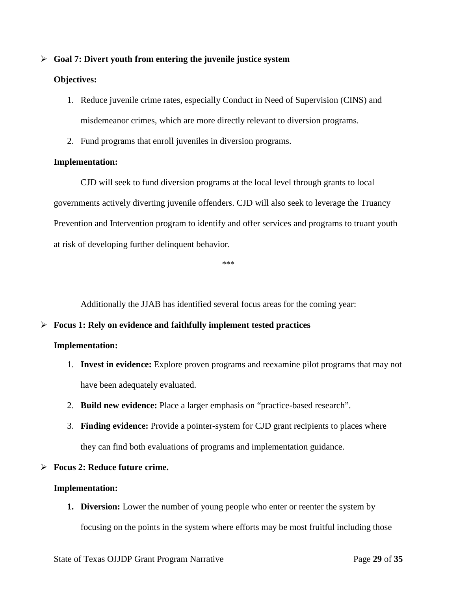#### <span id="page-28-0"></span>**Goal 7: Divert youth from entering the juvenile justice system**

#### **Objectives:**

- 1. Reduce juvenile crime rates, especially Conduct in Need of Supervision (CINS) and misdemeanor crimes, which are more directly relevant to diversion programs.
- 2. Fund programs that enroll juveniles in diversion programs.

#### **Implementation:**

CJD will seek to fund diversion programs at the local level through grants to local governments actively diverting juvenile offenders. CJD will also seek to leverage the Truancy Prevention and Intervention program to identify and offer services and programs to truant youth at risk of developing further delinquent behavior.

\*\*\*

Additionally the JJAB has identified several focus areas for the coming year:

#### <span id="page-28-1"></span>**Focus 1: Rely on evidence and faithfully implement tested practices**

#### **Implementation:**

- 1. **Invest in evidence:** Explore proven programs and reexamine pilot programs that may not have been adequately evaluated.
- 2. **Build new evidence:** Place a larger emphasis on "practice-based research".
- 3. **Finding evidence:** Provide a pointer-system for CJD grant recipients to places where they can find both evaluations of programs and implementation guidance.

#### <span id="page-28-2"></span>**Focus 2: Reduce future crime.**

#### **Implementation:**

**1. Diversion:** Lower the number of young people who enter or reenter the system by focusing on the points in the system where efforts may be most fruitful including those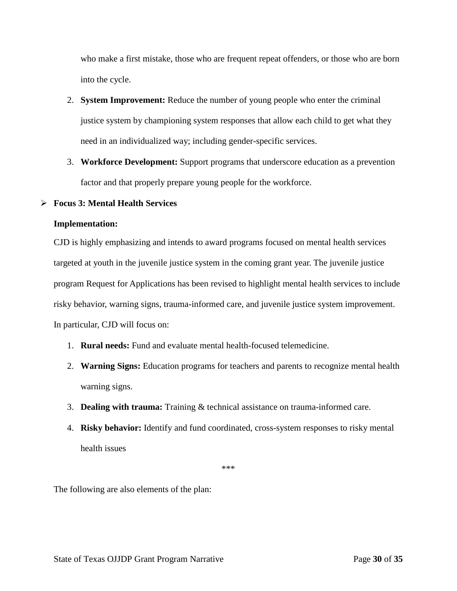who make a first mistake, those who are frequent repeat offenders, or those who are born into the cycle.

- 2. **System Improvement:** Reduce the number of young people who enter the criminal justice system by championing system responses that allow each child to get what they need in an individualized way; including gender-specific services.
- 3. **Workforce Development:** Support programs that underscore education as a prevention factor and that properly prepare young people for the workforce.

#### <span id="page-29-0"></span>**Focus 3: Mental Health Services**

#### **Implementation:**

CJD is highly emphasizing and intends to award programs focused on mental health services targeted at youth in the juvenile justice system in the coming grant year. The juvenile justice program Request for Applications has been revised to highlight mental health services to include risky behavior, warning signs, trauma-informed care, and juvenile justice system improvement. In particular, CJD will focus on:

- 1. **Rural needs:** Fund and evaluate mental health-focused telemedicine.
- 2. **Warning Signs:** Education programs for teachers and parents to recognize mental health warning signs.
- 3. **Dealing with trauma:** Training & technical assistance on trauma-informed care.
- 4. **Risky behavior:** Identify and fund coordinated, cross-system responses to risky mental health issues

\*\*\*

The following are also elements of the plan: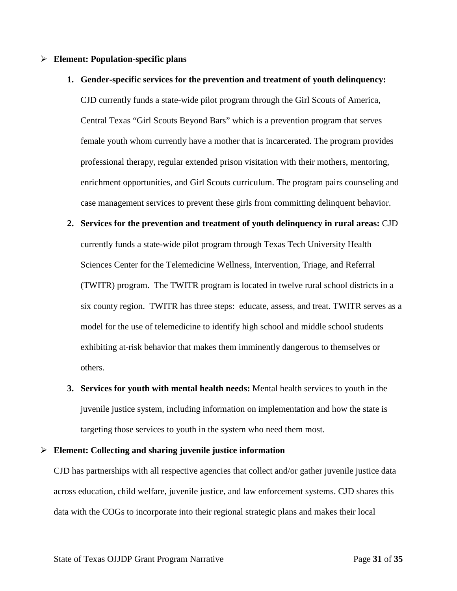#### <span id="page-30-0"></span>**Element: Population-specific plans**

#### **1. Gender-specific services for the prevention and treatment of youth delinquency:**

CJD currently funds a state-wide pilot program through the Girl Scouts of America, Central Texas "Girl Scouts Beyond Bars" which is a prevention program that serves female youth whom currently have a mother that is incarcerated. The program provides professional therapy, regular extended prison visitation with their mothers, mentoring, enrichment opportunities, and Girl Scouts curriculum. The program pairs counseling and case management services to prevent these girls from committing delinquent behavior.

- **2. Services for the prevention and treatment of youth delinquency in rural areas:** CJD currently funds a state-wide pilot program through Texas Tech University Health Sciences Center for the Telemedicine Wellness, Intervention, Triage, and Referral (TWITR) program. The TWITR program is located in twelve rural school districts in a six county region. TWITR has three steps: educate, assess, and treat. TWITR serves as a model for the use of telemedicine to identify high school and middle school students exhibiting at-risk behavior that makes them imminently dangerous to themselves or others.
- **3. Services for youth with mental health needs:** Mental health services to youth in the juvenile justice system, including information on implementation and how the state is targeting those services to youth in the system who need them most.

#### <span id="page-30-1"></span>**Element: Collecting and sharing juvenile justice information**

CJD has partnerships with all respective agencies that collect and/or gather juvenile justice data across education, child welfare, juvenile justice, and law enforcement systems. CJD shares this data with the COGs to incorporate into their regional strategic plans and makes their local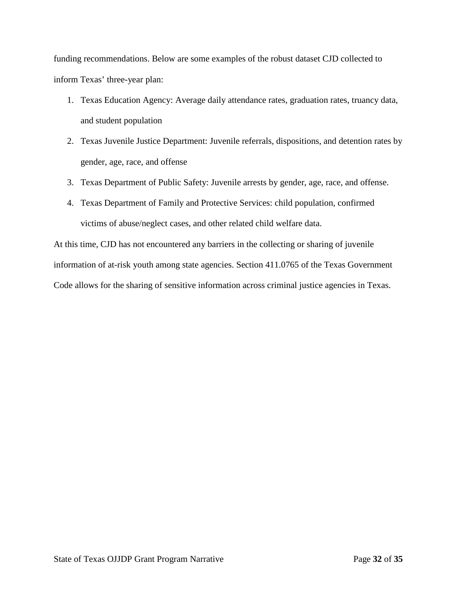funding recommendations. Below are some examples of the robust dataset CJD collected to inform Texas' three-year plan:

- 1. Texas Education Agency: Average daily attendance rates, graduation rates, truancy data, and student population
- 2. Texas Juvenile Justice Department: Juvenile referrals, dispositions, and detention rates by gender, age, race, and offense
- 3. Texas Department of Public Safety: Juvenile arrests by gender, age, race, and offense.
- 4. Texas Department of Family and Protective Services: child population, confirmed victims of abuse/neglect cases, and other related child welfare data.

At this time, CJD has not encountered any barriers in the collecting or sharing of juvenile information of at-risk youth among state agencies. Section 411.0765 of the Texas Government Code allows for the sharing of sensitive information across criminal justice agencies in Texas.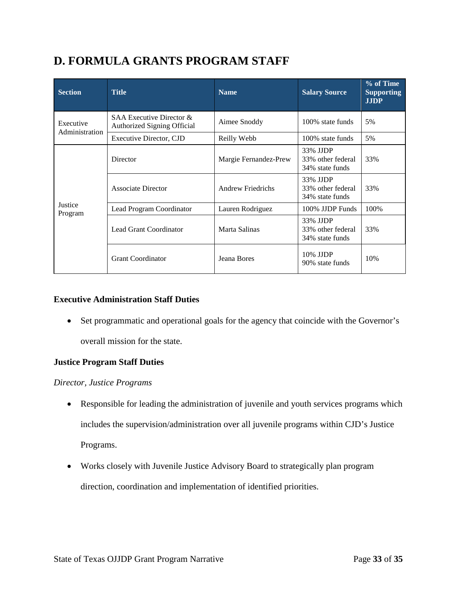## <span id="page-32-0"></span>**D. FORMULA GRANTS PROGRAM STAFF**

| <b>Section</b>              | <b>Title</b>                                                   | <b>Name</b>              | <b>Salary Source</b>                             | % of Time<br><b>Supporting</b><br><b>JJDP</b> |
|-----------------------------|----------------------------------------------------------------|--------------------------|--------------------------------------------------|-----------------------------------------------|
| Executive<br>Administration | SAA Executive Director &<br><b>Authorized Signing Official</b> | Aimee Snoddy             | 100% state funds                                 | 5%                                            |
|                             | <b>Executive Director, CJD</b>                                 | Reilly Webb              | 100% state funds                                 | 5%                                            |
|                             | Director                                                       | Margie Fernandez-Prew    | 33% JJDP<br>33% other federal<br>34% state funds | 33%                                           |
|                             | Associate Director                                             | <b>Andrew Friedrichs</b> | 33% JJDP<br>33% other federal<br>34% state funds | 33%                                           |
| Justice<br>Program          | Lead Program Coordinator                                       | Lauren Rodriguez         | 100% JJDP Funds                                  | 100%                                          |
|                             | Lead Grant Coordinator                                         | Marta Salinas            | 33% JJDP<br>33% other federal<br>34% state funds | 33%                                           |
|                             | <b>Grant Coordinator</b>                                       | Jeana Bores              | 10% JJDP<br>90% state funds                      | 10%                                           |

#### **Executive Administration Staff Duties**

• Set programmatic and operational goals for the agency that coincide with the Governor's overall mission for the state.

#### **Justice Program Staff Duties**

#### *Director, Justice Programs*

- Responsible for leading the administration of juvenile and youth services programs which includes the supervision/administration over all juvenile programs within CJD's Justice Programs.
- Works closely with Juvenile Justice Advisory Board to strategically plan program direction, coordination and implementation of identified priorities.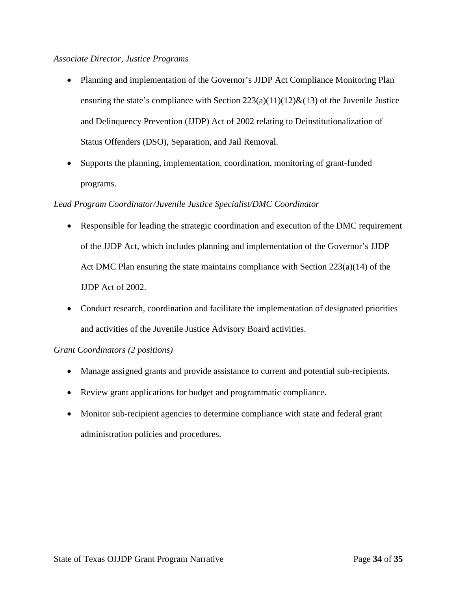#### *Associate Director, Justice Programs*

- Planning and implementation of the Governor's JJDP Act Compliance Monitoring Plan ensuring the state's compliance with Section  $223(a)(11)(12)\&(13)$  of the Juvenile Justice and Delinquency Prevention (JJDP) Act of 2002 relating to Deinstitutionalization of Status Offenders (DSO), Separation, and Jail Removal.
- Supports the planning, implementation, coordination, monitoring of grant-funded programs.

#### *Lead Program Coordinator/Juvenile Justice Specialist/DMC Coordinator*

- Responsible for leading the strategic coordination and execution of the DMC requirement of the JJDP Act, which includes planning and implementation of the Governor's JJDP Act DMC Plan ensuring the state maintains compliance with Section 223(a)(14) of the JJDP Act of 2002.
- Conduct research, coordination and facilitate the implementation of designated priorities and activities of the Juvenile Justice Advisory Board activities.

#### *Grant Coordinators (2 positions)*

- Manage assigned grants and provide assistance to current and potential sub-recipients.
- Review grant applications for budget and programmatic compliance.
- Monitor sub-recipient agencies to determine compliance with state and federal grant administration policies and procedures.